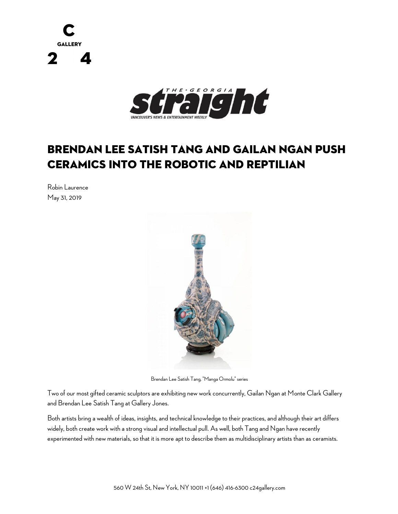



## Brendan Lee Satish Tang and Gailan Ngan push ceramics into the robotic and reptilian

Robin Laurence May 31, 2019



Brendan Lee Satish Tang, "Manga Ormolu" series

Two of our most gifted ceramic sculptors are exhibiting new work concurrently, Gailan Ngan at Monte Clark Gallery and Brendan Lee Satish Tang at Gallery Jones.

Both artists bring a wealth of ideas, insights, and technical knowledge to their practices, and although their art differs widely, both create work with a strong visual and intellectual pull. As well, both Tang and Ngan have recently experimented with new materials, so that it is more apt to describe them as multidisciplinary artists than as ceramists.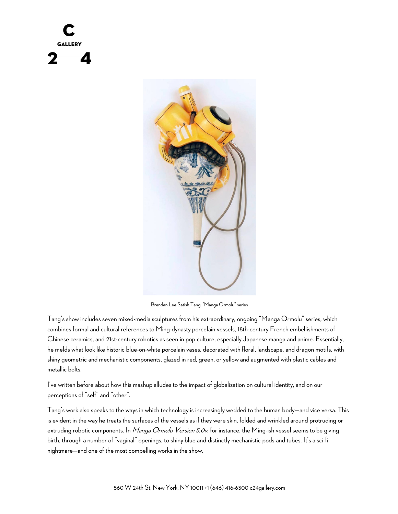

Brendan Lee Satish Tang, "Manga Ormolu" series

Tang's show includes seven mixed-media sculptures from his extraordinary, ongoing "Manga Ormolu" series, which combines formal and cultural references to Ming-dynasty porcelain vessels, 18th-century French embellishments of Chinese ceramics, and 21st-century robotics as seen in pop culture, especially Japanese manga and anime. Essentially, he melds what look like historic blue-on-white porcelain vases, decorated with floral, landscape, and dragon motifs, with shiny geometric and mechanistic components, glazed in red, green, or yellow and augmented with plastic cables and metallic bolts.

I've written before about how this mashup alludes to the impact of globalization on cultural identity, and on our perceptions of "self" and "other".

Tang's work also speaks to the ways in which technology is increasingly wedded to the human body—and vice versa. This is evident in the way he treats the surfaces of the vessels as if they were skin, folded and wrinkled around protruding or extruding robotic components. In *Manga Ormolu Version 5.0v*, for instance, the Ming-ish vessel seems to be giving birth, through a number of "vaginal" openings, to shiny blue and distinctly mechanistic pods and tubes. It's a sci-fi nightmare—and one of the most compelling works in the show.